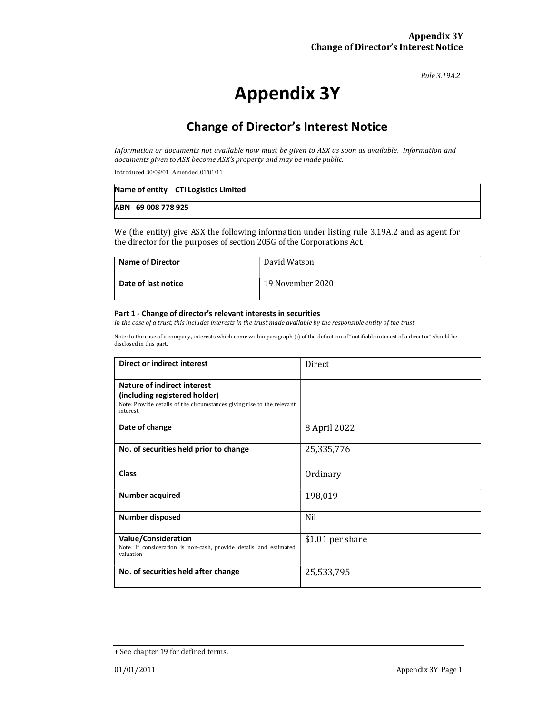*Rule 3.19A.2*

# Appendix 3Y

# Change of Director's Interest Notice

*Information* or documents not available now must be given to ASX as soon as available. Information and documents given to ASX become ASX's property and may be made public.

Introduced 30/09/01 Amended 01/01/11

|                    | Name of entity CTI Logistics Limited |
|--------------------|--------------------------------------|
| ABN 69 008 778 925 |                                      |

We (the entity) give ASX the following information under listing rule 3.19A.2 and as agent for the director for the purposes of section 205G of the Corporations Act.

| <b>Name of Director</b> | David Watson     |
|-------------------------|------------------|
| Date of last notice     | 19 November 2020 |

#### Part 1 - Change of director's relevant interests in securities

In the case of a trust, this includes interests in the trust made available by the responsible entity of the trust

Note: In the case of a company, interests which come within paragraph (i) of the definition of "notifiable interest of a director" should be disclosed in this part.

| Direct or indirect interest                                                                                                                         | <b>Direct</b>    |  |
|-----------------------------------------------------------------------------------------------------------------------------------------------------|------------------|--|
| Nature of indirect interest<br>(including registered holder)<br>Note: Provide details of the circumstances giving rise to the relevant<br>interest. |                  |  |
| Date of change                                                                                                                                      | 8 April 2022     |  |
| No. of securities held prior to change                                                                                                              | 25,335,776       |  |
| <b>Class</b>                                                                                                                                        | Ordinary         |  |
| <b>Number acquired</b>                                                                                                                              | 198,019          |  |
| <b>Number disposed</b>                                                                                                                              | Nil              |  |
| <b>Value/Consideration</b><br>Note: If consideration is non-cash, provide details and estimated<br>valuation                                        | \$1.01 per share |  |
| No. of securities held after change                                                                                                                 | 25,533,795       |  |

<sup>+</sup> See chapter 19 for defined terms.